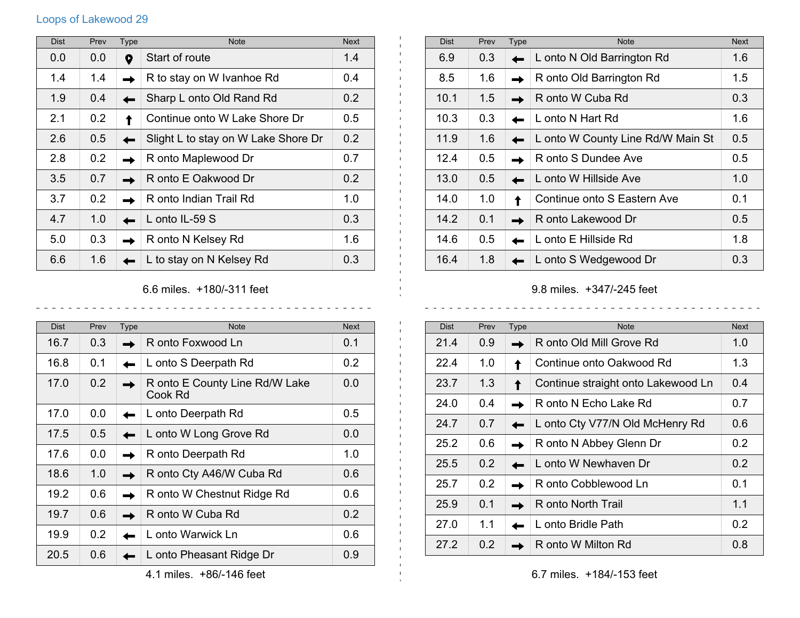## Loops of Lakewood 29

| <b>Dist</b> | Prev | <b>Type</b> | <b>Note</b>                         | <b>Next</b> |
|-------------|------|-------------|-------------------------------------|-------------|
| 0.0         | 0.0  | 9           | Start of route                      | 1.4         |
| 1.4         | 1.4  |             | R to stay on W Ivanhoe Rd           | 0.4         |
| 1.9         | 0.4  |             | Sharp L onto Old Rand Rd            | 0.2         |
| 2.1         | 0.2  |             | Continue onto W Lake Shore Dr       | 0.5         |
| 2.6         | 0.5  |             | Slight L to stay on W Lake Shore Dr | 0.2         |
| 2.8         | 0.2  |             | R onto Maplewood Dr                 | 0.7         |
| 3.5         | 0.7  |             | R onto E Oakwood Dr                 | 0.2         |
| 3.7         | 0.2  |             | R onto Indian Trail Rd              | 1.0         |
| 4.7         | 1.0  |             | L onto IL-59 S                      | 0.3         |
| 5.0         | 0.3  |             | R onto N Kelsey Rd                  | 1.6         |
| 6.6         | 1.6  |             | L to stay on N Kelsey Rd            | 0.3         |

| <b>Dist</b> | Prev | <b>Type</b> | <b>Note</b>                       | <b>Next</b> |
|-------------|------|-------------|-----------------------------------|-------------|
| 6.9         | 0.3  |             | L onto N Old Barrington Rd        | 1.6         |
| 8.5         | 1.6  |             | R onto Old Barrington Rd          | 1.5         |
| 10.1        | 1.5  |             | R onto W Cuba Rd                  | 0.3         |
| 10.3        | 0.3  |             | L onto N Hart Rd                  | 1.6         |
| 11.9        | 1.6  |             | L onto W County Line Rd/W Main St | 0.5         |
| 12.4        | 0.5  |             | R onto S Dundee Ave               | 0.5         |
| 13.0        | 0.5  |             | L onto W Hillside Ave             | 1.0         |
| 14.0        | 1.0  |             | Continue onto S Eastern Ave       | 0.1         |
| 14.2        | 0.1  |             | R onto Lakewood Dr                | 0.5         |
| 14.6        | 0.5  |             | L onto E Hillside Rd              | 1.8         |
| 16.4        | 1.8  |             | L onto S Wedgewood Dr             | 0.3         |

9.8 miles. +347/-245 feet

| <b>Dist</b> | Prev          | <b>Type</b> | <b>Note</b>                        | <b>Next</b>   |
|-------------|---------------|-------------|------------------------------------|---------------|
| 21.4        | 0.9           |             | R onto Old Mill Grove Rd           | 1.0           |
| 22.4        | 1.0           |             | Continue onto Oakwood Rd           | 1.3           |
| 23.7        | 1.3           |             | Continue straight onto Lakewood Ln | 0.4           |
| 24.0        | 0.4           |             | R onto N Echo Lake Rd              | 0.7           |
| 24.7        | 0.7           |             | L onto Cty V77/N Old McHenry Rd    | 0.6           |
| 25.2        | 0.6           |             | R onto N Abbey Glenn Dr            | 0.2           |
| 25.5        | 0.2           |             | L onto W Newhaven Dr               | $0.2^{\circ}$ |
| 25.7        | 0.2           |             | R onto Cobblewood Ln               | 0.1           |
| 25.9        | 0.1           |             | R onto North Trail                 | 1.1           |
| 27.0        | 1.1           |             | L onto Bridle Path                 | 0.2           |
| 27.2        | $0.2^{\circ}$ |             | R onto W Milton Rd                 | 0.8           |

## 6.6 miles. +180/-311 feet

 $\frac{1}{2}$ 

| <b>Dist</b> | Prev          | Type | <b>Note</b>                               | <b>Next</b> |
|-------------|---------------|------|-------------------------------------------|-------------|
| 16.7        | 0.3           |      | R onto Foxwood Ln                         | 0.1         |
| 16.8        | 0.1           |      | L onto S Deerpath Rd                      | 0.2         |
| 17.0        | 0.2           |      | R onto E County Line Rd/W Lake<br>Cook Rd | 0.0         |
| 17.0        | 0.0           |      | L onto Deerpath Rd                        | 0.5         |
| 17.5        | $0.5^{\circ}$ |      | L onto W Long Grove Rd                    | 0.0         |
| 17.6        | 0.0           |      | R onto Deerpath Rd                        | 1.0         |
| 18.6        | 1.0           |      | R onto Cty A46/W Cuba Rd                  | 0.6         |
| 19.2        | 0.6           |      | R onto W Chestnut Ridge Rd                | 0.6         |
| 19.7        | 0.6           |      | R onto W Cuba Rd                          | 0.2         |
| 19.9        | 0.2           |      | L onto Warwick Ln                         | 0.6         |
| 20.5        | 0.6           |      | L onto Pheasant Ridge Dr                  | 0.9         |

4.1 miles. +86/-146 feet